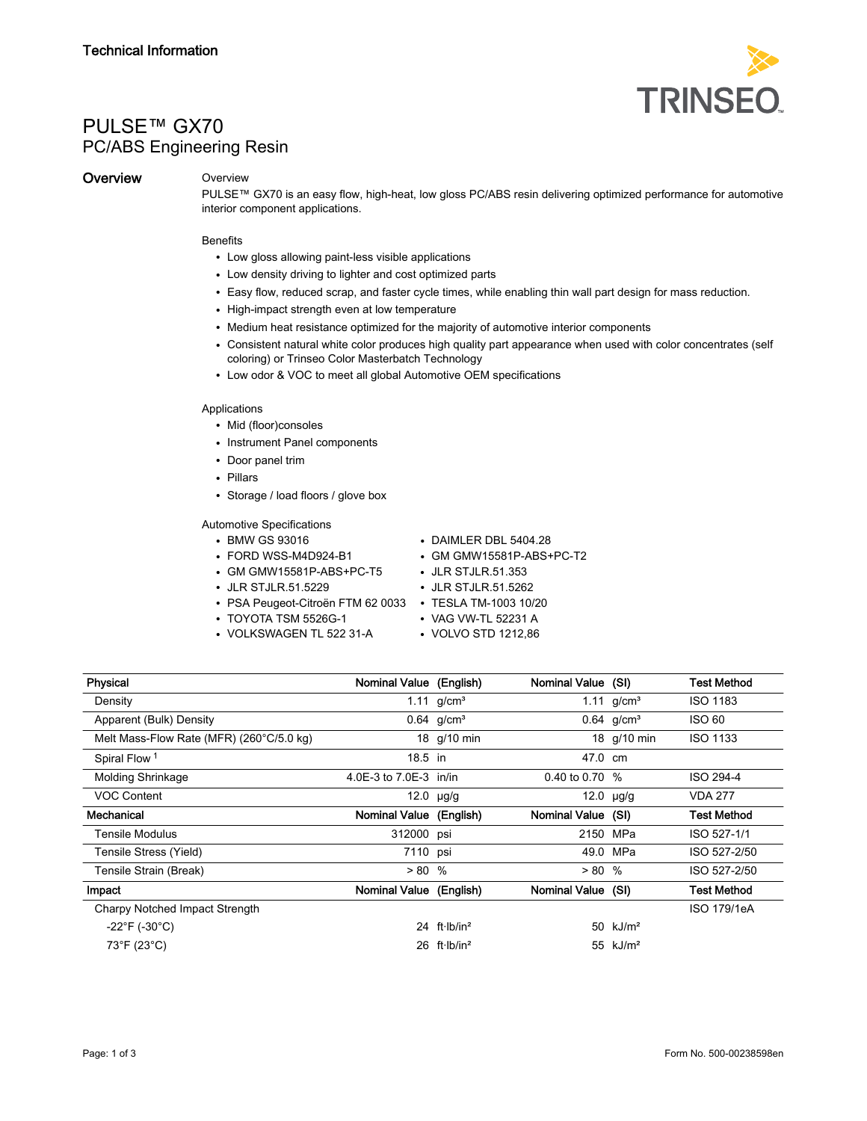

# PULSE™ GX70 PC/ABS Engineering Resin

# **Overview Overview**

PULSE™ GX70 is an easy flow, high-heat, low gloss PC/ABS resin delivering optimized performance for automotive interior component applications.

## **Benefits**

- Low gloss allowing paint-less visible applications
- Low density driving to lighter and cost optimized parts
- Easy flow, reduced scrap, and faster cycle times, while enabling thin wall part design for mass reduction.
- High-impact strength even at low temperature
- Medium heat resistance optimized for the majority of automotive interior components
- Consistent natural white color produces high quality part appearance when used with color concentrates (self coloring) or Trinseo Color Masterbatch Technology
- Low odor & VOC to meet all global Automotive OEM specifications

### Applications

- Mid (floor)consoles
- Instrument Panel components
- Door panel trim
- Pillars
- Storage / load floors / glove box

Automotive Specifications

- 
- 
- GM GMW15581P-ABS+PC-T5 JLR STJLR.51.353
- JLR STJLR.51.5229 JLR STJLR.51.5262
- PSA Peugeot-Citroën FTM 62 0033 TESLA TM-1003 10/20<br>• TOYOTA TSM 5526G-1 VAG VW-TL 52231 A
- $\cdot$  TOYOTA TSM 5526G-1
- VOLKSWAGEN TL 522 31-A VOLVO STD 1212,86
- BMW GS 93016 DAIMLER DBL 5404.28
- FORD WSS-M4D924-B1 GM GMW15581P-ABS+PC-T2
	-
	-
	-
	-
	-

| Physical                                 | Nominal Value (English) |                                  | Nominal Value (SI) |                          | <b>Test Method</b> |
|------------------------------------------|-------------------------|----------------------------------|--------------------|--------------------------|--------------------|
| Density                                  |                         | 1.11 $g/cm^{3}$                  |                    | 1.11 $q/cm^{3}$          | <b>ISO 1183</b>    |
| Apparent (Bulk) Density                  |                         | $0.64$ g/cm <sup>3</sup>         |                    | $0.64$ g/cm <sup>3</sup> | <b>ISO 60</b>      |
| Melt Mass-Flow Rate (MFR) (260°C/5.0 kg) |                         | 18 g/10 min                      |                    | 18 g/10 min              | <b>ISO 1133</b>    |
| Spiral Flow <sup>1</sup>                 | $18.5$ in               |                                  | 47.0 cm            |                          |                    |
| <b>Molding Shrinkage</b>                 | 4.0E-3 to 7.0E-3 in/in  |                                  | 0.40 to 0.70 $%$   |                          | ISO 294-4          |
| <b>VOC Content</b>                       |                         | 12.0 $\mu$ g/g                   |                    | 12.0 $\mu$ g/g           | <b>VDA 277</b>     |
| Mechanical                               | Nominal Value (English) |                                  | Nominal Value (SI) |                          | <b>Test Method</b> |
| <b>Tensile Modulus</b>                   | 312000 psi              |                                  | 2150 MPa           |                          | ISO 527-1/1        |
| Tensile Stress (Yield)                   | 7110 psi                |                                  |                    | 49.0 MPa                 | ISO 527-2/50       |
| Tensile Strain (Break)                   | > 80 %                  |                                  | > 80 %             |                          | ISO 527-2/50       |
| Impact                                   | Nominal Value (English) |                                  | Nominal Value (SI) |                          | Test Method        |
| Charpy Notched Impact Strength           |                         |                                  |                    |                          | ISO 179/1eA        |
| $-22^{\circ}F(-30^{\circ}C)$             |                         | 24 $ft·lb/in2$                   |                    | 50 $kJ/m2$               |                    |
| 73°F (23°C)                              |                         | 26 ft $\cdot$ Ib/in <sup>2</sup> |                    | 55 $kJ/m2$               |                    |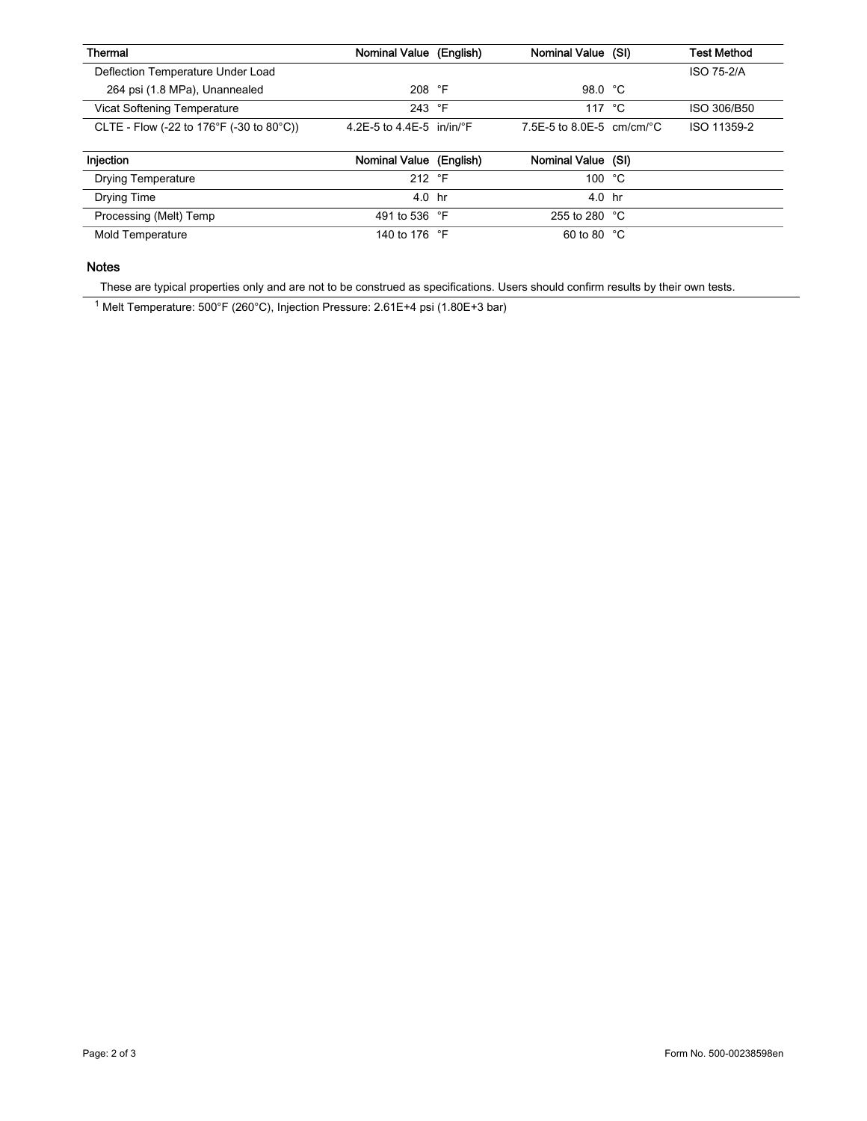| Thermal                                  | Nominal Value (English)             | Nominal Value (SI)                   | <b>Test Method</b> |
|------------------------------------------|-------------------------------------|--------------------------------------|--------------------|
| Deflection Temperature Under Load        |                                     |                                      | ISO 75-2/A         |
| 264 psi (1.8 MPa), Unannealed            | 208 $\degree$ F                     | 98.0 °C                              |                    |
| Vicat Softening Temperature              | 243 $\degree$ F                     | 117 $\degree$ C                      | ISO 306/B50        |
| CLTE - Flow (-22 to 176°F (-30 to 80°C)) | 4 2F-5 to 4 4F-5 in/in/ $\degree$ F | 7.5F-5 to 8.0F-5 cm/cm/ $^{\circ}$ C | ISO 11359-2        |
| Injection                                | Nominal Value (English)             | Nominal Value (SI)                   |                    |

|                           | .             |                        |  |
|---------------------------|---------------|------------------------|--|
| <b>Drying Temperature</b> | 212 °F        | 100 $°C$               |  |
| Drying Time               | 4.0 hr        | 4.0 hr                 |  |
| Processing (Melt) Temp    | 491 to 536 °F | 255 to 280 $\degree$ C |  |
| Mold Temperature          | 140 to 176 °F | 60 to 80 $\degree$ C   |  |

# Notes

These are typical properties only and are not to be construed as specifications. Users should confirm results by their own tests.

<sup>1</sup> Melt Temperature: 500°F (260°C), Injection Pressure: 2.61E+4 psi (1.80E+3 bar)